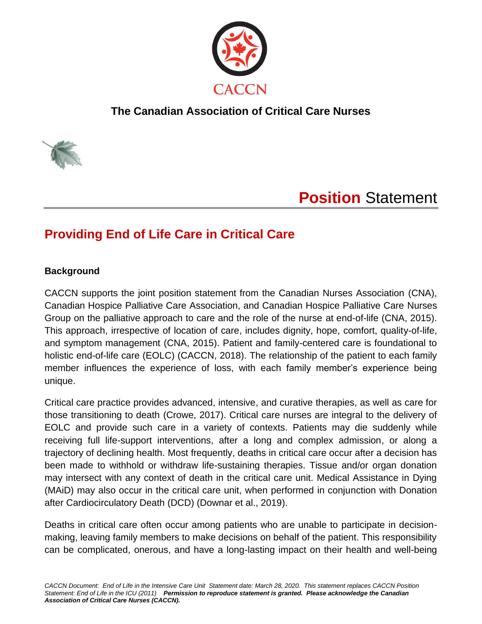

### **The Canadian Association of Critical Care Nurses**



# **Position** Statement

## **Providing End of Life Care in Critical Care**

#### **Background**

CACCN supports the joint position statement from the Canadian Nurses Association (CNA), Canadian Hospice Palliative Care Association, and Canadian Hospice Palliative Care Nurses Group on the palliative approach to care and the role of the nurse at end-of-life (CNA, 2015). This approach, irrespective of location of care, includes dignity, hope, comfort, quality-of-life, and symptom management (CNA, 2015). Patient and family-centered care is foundational to holistic end-of-life care (EOLC) (CACCN, 2018). The relationship of the patient to each family member influences the experience of loss, with each family member's experience being unique.

Critical care practice provides advanced, intensive, and curative therapies, as well as care for those transitioning to death (Crowe, 2017). Critical care nurses are integral to the delivery of EOLC and provide such care in a variety of contexts. Patients may die suddenly while receiving full life-support interventions, after a long and complex admission, or along a trajectory of declining health. Most frequently, deaths in critical care occur after a decision has been made to withhold or withdraw life-sustaining therapies. Tissue and/or organ donation may intersect with any context of death in the critical care unit. Medical Assistance in Dying (MAiD) may also occur in the critical care unit, when performed in conjunction with Donation after Cardiocirculatory Death (DCD) (Downar et al., 2019).

Deaths in critical care often occur among patients who are unable to participate in decisionmaking, leaving family members to make decisions on behalf of the patient. This responsibility can be complicated, onerous, and have a long-lasting impact on their health and well-being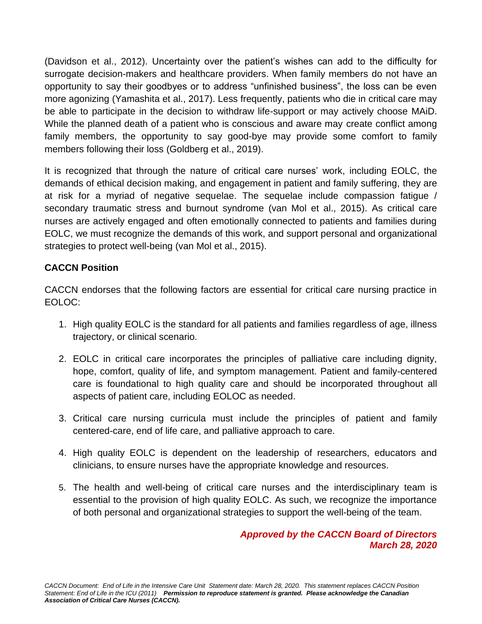(Davidson et al., 2012). Uncertainty over the patient's wishes can add to the difficulty for surrogate decision-makers and healthcare providers. When family members do not have an opportunity to say their goodbyes or to address "unfinished business", the loss can be even more agonizing (Yamashita et al., 2017). Less frequently, patients who die in critical care may be able to participate in the decision to withdraw life-support or may actively choose MAiD. While the planned death of a patient who is conscious and aware may create conflict among family members, the opportunity to say good-bye may provide some comfort to family members following their loss (Goldberg et al., 2019).

It is recognized that through the nature of critical care nurses' work, including EOLC, the demands of ethical decision making, and engagement in patient and family suffering, they are at risk for a myriad of negative sequelae. The sequelae include compassion fatigue / secondary traumatic stress and burnout syndrome (van Mol et al., 2015). As critical care nurses are actively engaged and often emotionally connected to patients and families during EOLC, we must recognize the demands of this work, and support personal and organizational strategies to protect well-being (van Mol et al., 2015).

#### **CACCN Position**

CACCN endorses that the following factors are essential for critical care nursing practice in EOLOC:

- 1. High quality EOLC is the standard for all patients and families regardless of age, illness trajectory, or clinical scenario.
- 2. EOLC in critical care incorporates the principles of palliative care including dignity, hope, comfort, quality of life, and symptom management. Patient and family-centered care is foundational to high quality care and should be incorporated throughout all aspects of patient care, including EOLOC as needed.
- 3. Critical care nursing curricula must include the principles of patient and family centered-care, end of life care, and palliative approach to care.
- 4. High quality EOLC is dependent on the leadership of researchers, educators and clinicians, to ensure nurses have the appropriate knowledge and resources.
- 5. The health and well-being of critical care nurses and the interdisciplinary team is essential to the provision of high quality EOLC. As such, we recognize the importance of both personal and organizational strategies to support the well-being of the team.

*Approved by the CACCN Board of Directors March 28, 2020*